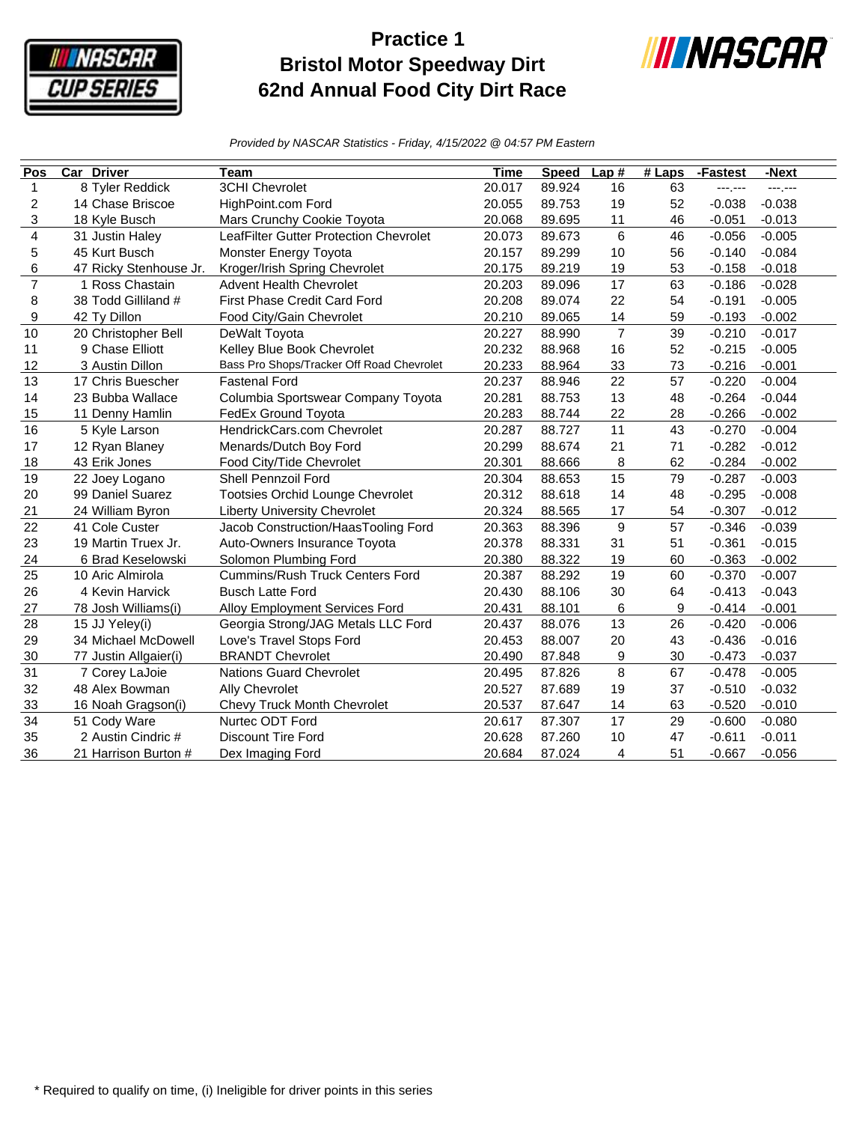

## **Practice 1 Bristol Motor Speedway Dirt 62nd Annual Food City Dirt Race**



*Provided by NASCAR Statistics - Friday, 4/15/2022 @ 04:57 PM Eastern*

| Pos            | <b>Car Driver</b>      | Team                                      | <b>Time</b> | <b>Speed</b> | Lap#             | #Laps | -Fastest | -Next    |
|----------------|------------------------|-------------------------------------------|-------------|--------------|------------------|-------|----------|----------|
| 1              | 8 Tyler Reddick        | <b>3CHI Chevrolet</b>                     | 20.017      | 89.924       | 16               | 63    | ---.---  | ---;---  |
| 2              | 14 Chase Briscoe       | HighPoint.com Ford                        | 20.055      | 89.753       | 19               | 52    | $-0.038$ | $-0.038$ |
| 3              | 18 Kyle Busch          | Mars Crunchy Cookie Toyota                | 20.068      | 89.695       | 11               | 46    | $-0.051$ | $-0.013$ |
| 4              | 31 Justin Haley        | LeafFilter Gutter Protection Chevrolet    | 20.073      | 89.673       | 6                | 46    | $-0.056$ | $-0.005$ |
| 5              | 45 Kurt Busch          | Monster Energy Toyota                     | 20.157      | 89.299       | 10               | 56    | $-0.140$ | $-0.084$ |
| 6              | 47 Ricky Stenhouse Jr. | Kroger/Irish Spring Chevrolet             | 20.175      | 89.219       | 19               | 53    | $-0.158$ | $-0.018$ |
| $\overline{7}$ | 1 Ross Chastain        | <b>Advent Health Chevrolet</b>            | 20.203      | 89.096       | 17               | 63    | $-0.186$ | $-0.028$ |
| 8              | 38 Todd Gilliland #    | First Phase Credit Card Ford              | 20.208      | 89.074       | 22               | 54    | $-0.191$ | $-0.005$ |
| 9              | 42 Ty Dillon           | Food City/Gain Chevrolet                  | 20.210      | 89.065       | 14               | 59    | $-0.193$ | $-0.002$ |
| 10             | 20 Christopher Bell    | DeWalt Toyota                             | 20.227      | 88.990       | $\overline{7}$   | 39    | $-0.210$ | $-0.017$ |
| 11             | 9 Chase Elliott        | Kelley Blue Book Chevrolet                | 20.232      | 88.968       | 16               | 52    | $-0.215$ | $-0.005$ |
| 12             | 3 Austin Dillon        | Bass Pro Shops/Tracker Off Road Chevrolet | 20.233      | 88.964       | 33               | 73    | $-0.216$ | $-0.001$ |
| 13             | 17 Chris Buescher      | <b>Fastenal Ford</b>                      | 20.237      | 88.946       | 22               | 57    | $-0.220$ | $-0.004$ |
| 14             | 23 Bubba Wallace       | Columbia Sportswear Company Toyota        | 20.281      | 88.753       | 13               | 48    | $-0.264$ | $-0.044$ |
| 15             | 11 Denny Hamlin        | FedEx Ground Toyota                       | 20.283      | 88.744       | 22               | 28    | $-0.266$ | $-0.002$ |
| 16             | 5 Kyle Larson          | HendrickCars.com Chevrolet                | 20.287      | 88.727       | 11               | 43    | $-0.270$ | $-0.004$ |
| 17             | 12 Ryan Blaney         | Menards/Dutch Boy Ford                    | 20.299      | 88.674       | 21               | 71    | $-0.282$ | $-0.012$ |
| 18             | 43 Erik Jones          | Food City/Tide Chevrolet                  | 20.301      | 88.666       | 8                | 62    | $-0.284$ | $-0.002$ |
| 19             | 22 Joey Logano         | <b>Shell Pennzoil Ford</b>                | 20.304      | 88.653       | 15               | 79    | $-0.287$ | $-0.003$ |
| 20             | 99 Daniel Suarez       | Tootsies Orchid Lounge Chevrolet          | 20.312      | 88.618       | 14               | 48    | $-0.295$ | $-0.008$ |
| 21             | 24 William Byron       | <b>Liberty University Chevrolet</b>       | 20.324      | 88.565       | 17               | 54    | $-0.307$ | $-0.012$ |
| 22             | 41 Cole Custer         | Jacob Construction/HaasTooling Ford       | 20.363      | 88.396       | 9                | 57    | $-0.346$ | $-0.039$ |
| 23             | 19 Martin Truex Jr.    | Auto-Owners Insurance Toyota              | 20.378      | 88.331       | 31               | 51    | $-0.361$ | $-0.015$ |
| 24             | 6 Brad Keselowski      | Solomon Plumbing Ford                     | 20.380      | 88.322       | 19               | 60    | $-0.363$ | $-0.002$ |
| 25             | 10 Aric Almirola       | <b>Cummins/Rush Truck Centers Ford</b>    | 20.387      | 88.292       | 19               | 60    | $-0.370$ | $-0.007$ |
| 26             | 4 Kevin Harvick        | <b>Busch Latte Ford</b>                   | 20.430      | 88.106       | 30               | 64    | $-0.413$ | $-0.043$ |
| 27             | 78 Josh Williams(i)    | Alloy Employment Services Ford            | 20.431      | 88.101       | 6                | 9     | $-0.414$ | $-0.001$ |
| 28             | 15 JJ Yeley(i)         | Georgia Strong/JAG Metals LLC Ford        | 20.437      | 88.076       | 13               | 26    | $-0.420$ | $-0.006$ |
| 29             | 34 Michael McDowell    | Love's Travel Stops Ford                  | 20.453      | 88.007       | 20               | 43    | $-0.436$ | $-0.016$ |
| 30             | 77 Justin Allgaier(i)  | <b>BRANDT Chevrolet</b>                   | 20.490      | 87.848       | $\boldsymbol{9}$ | 30    | $-0.473$ | $-0.037$ |
| 31             | 7 Corey LaJoie         | <b>Nations Guard Chevrolet</b>            | 20.495      | 87.826       | 8                | 67    | $-0.478$ | $-0.005$ |
| 32             | 48 Alex Bowman         | Ally Chevrolet                            | 20.527      | 87.689       | 19               | 37    | $-0.510$ | $-0.032$ |
| 33             | 16 Noah Gragson(i)     | Chevy Truck Month Chevrolet               | 20.537      | 87.647       | 14               | 63    | $-0.520$ | $-0.010$ |
| 34             | 51 Cody Ware           | Nurtec ODT Ford                           | 20.617      | 87.307       | 17               | 29    | $-0.600$ | $-0.080$ |
| 35             | 2 Austin Cindric #     | Discount Tire Ford                        | 20.628      | 87.260       | 10               | 47    | $-0.611$ | $-0.011$ |
| 36             | 21 Harrison Burton #   | Dex Imaging Ford                          | 20.684      | 87.024       | 4                | 51    | $-0.667$ | $-0.056$ |